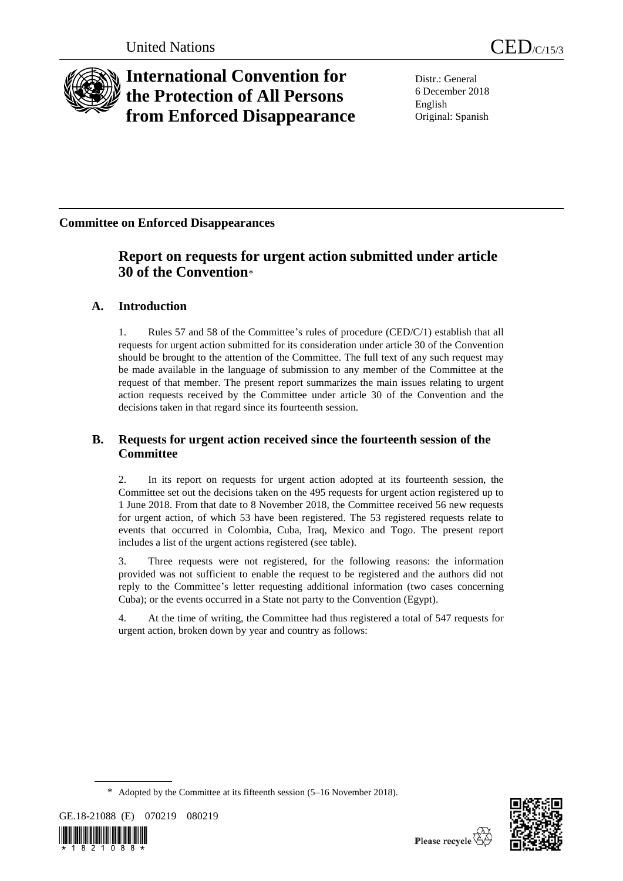

# **International Convention for the Protection of All Persons from Enforced Disappearance**

Distr.: General 6 December 2018 English Original: Spanish

## **Committee on Enforced Disappearances**

## **Report on requests for urgent action submitted under article 30 of the Convention**\*

## **A. Introduction**

1. Rules 57 and 58 of the Committee's rules of procedure (CED/C/1) establish that all requests for urgent action submitted for its consideration under article 30 of the Convention should be brought to the attention of the Committee. The full text of any such request may be made available in the language of submission to any member of the Committee at the request of that member. The present report summarizes the main issues relating to urgent action requests received by the Committee under article 30 of the Convention and the decisions taken in that regard since its fourteenth session.

## **B. Requests for urgent action received since the fourteenth session of the Committee**

2. In its report on requests for urgent action adopted at its fourteenth session, the Committee set out the decisions taken on the 495 requests for urgent action registered up to 1 June 2018. From that date to 8 November 2018, the Committee received 56 new requests for urgent action, of which 53 have been registered. The 53 registered requests relate to events that occurred in Colombia, Cuba, Iraq, Mexico and Togo. The present report includes a list of the urgent actions registered (see table).

3. Three requests were not registered, for the following reasons: the information provided was not sufficient to enable the request to be registered and the authors did not reply to the Committee's letter requesting additional information (two cases concerning Cuba); or the events occurred in a State not party to the Convention (Egypt).

4. At the time of writing, the Committee had thus registered a total of 547 requests for urgent action, broken down by year and country as follows:

<sup>\*</sup> Adopted by the Committee at its fifteenth session (5–16 November 2018).





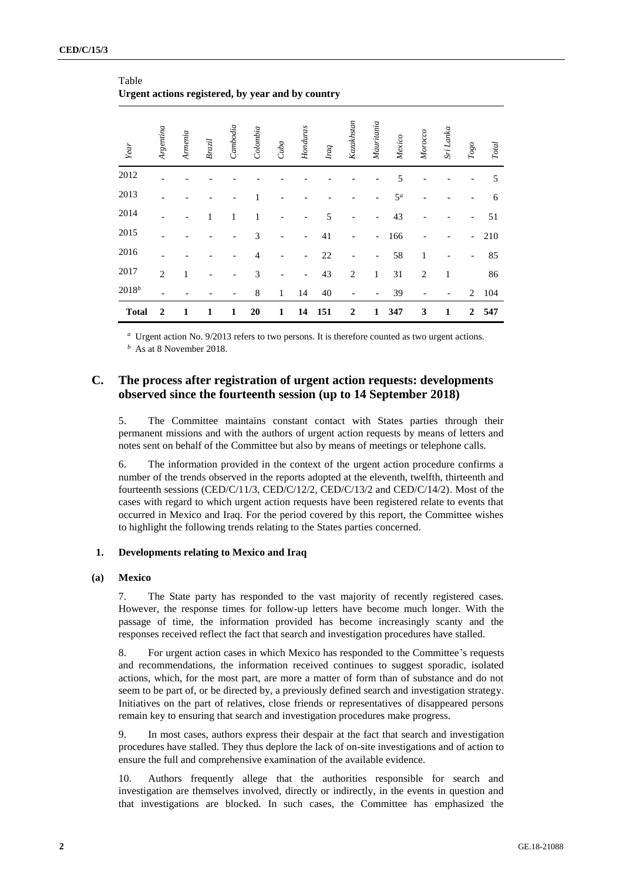| Year         | Argentina      | Armenia | Brazil | Cambodia | Colombia       | Cuba         | Honduras                 | Iraq | Kazakhstan               | Mauritania                   | Mexico | Morocco        | Sri Lanka    | $Togo$                   | <b>Total</b> |
|--------------|----------------|---------|--------|----------|----------------|--------------|--------------------------|------|--------------------------|------------------------------|--------|----------------|--------------|--------------------------|--------------|
| 2012         |                |         |        |          |                |              |                          |      |                          |                              | 5      |                |              |                          | 5            |
| 2013         |                |         |        |          |                |              |                          |      |                          |                              | $5^a$  |                |              |                          | 6            |
| 2014         |                |         | 1      | 1        | 1              |              |                          | 5    | $\overline{\phantom{a}}$ | $\qquad \qquad \blacksquare$ | 43     |                |              | $\overline{\phantom{m}}$ | 51           |
| 2015         |                |         |        |          | 3              |              | $\overline{\phantom{0}}$ | 41   |                          | $\overline{a}$               | 166    |                |              | $\overline{\phantom{0}}$ | 210          |
| 2016         |                |         |        |          | $\overline{4}$ |              | $\overline{\phantom{0}}$ | 22   |                          | $\overline{\phantom{0}}$     | 58     | $\mathbf{1}$   |              | $\overline{\phantom{0}}$ | 85           |
| 2017         | $\overline{2}$ | 1       |        |          | 3              |              | $\blacksquare$           | 43   | $\overline{2}$           | 1                            | 31     | $\overline{2}$ | $\mathbf{1}$ |                          | 86           |
| $2018^b$     |                |         |        |          | 8              | $\mathbf{1}$ | 14                       | 40   |                          |                              | 39     |                |              | $\overline{2}$           | 104          |
| <b>Total</b> | $\overline{2}$ | 1       | 1      | 1        | 20             | $\mathbf{1}$ | 14                       | 151  | $\boldsymbol{2}$         | 1                            | 347    | 3              | 1            | $\boldsymbol{2}$         | 547          |

Table **Urgent actions registered, by year and by country**

*a* Urgent action No. 9/2013 refers to two persons. It is therefore counted as two urgent actions.

*b* As at 8 November 2018.

### **C. The process after registration of urgent action requests: developments observed since the fourteenth session (up to 14 September 2018)**

5. The Committee maintains constant contact with States parties through their permanent missions and with the authors of urgent action requests by means of letters and notes sent on behalf of the Committee but also by means of meetings or telephone calls.

6. The information provided in the context of the urgent action procedure confirms a number of the trends observed in the reports adopted at the eleventh, twelfth, thirteenth and fourteenth sessions (CED/C/11/3, CED/C/12/2, CED/C/13/2 and CED/C/14/2). Most of the cases with regard to which urgent action requests have been registered relate to events that occurred in Mexico and Iraq. For the period covered by this report, the Committee wishes to highlight the following trends relating to the States parties concerned.

#### **1. Developments relating to Mexico and Iraq**

#### **(a) Mexico**

7. The State party has responded to the vast majority of recently registered cases. However, the response times for follow-up letters have become much longer. With the passage of time, the information provided has become increasingly scanty and the responses received reflect the fact that search and investigation procedures have stalled.

8. For urgent action cases in which Mexico has responded to the Committee's requests and recommendations, the information received continues to suggest sporadic, isolated actions, which, for the most part, are more a matter of form than of substance and do not seem to be part of, or be directed by, a previously defined search and investigation strategy. Initiatives on the part of relatives, close friends or representatives of disappeared persons remain key to ensuring that search and investigation procedures make progress.

9. In most cases, authors express their despair at the fact that search and investigation procedures have stalled. They thus deplore the lack of on-site investigations and of action to ensure the full and comprehensive examination of the available evidence.

10. Authors frequently allege that the authorities responsible for search and investigation are themselves involved, directly or indirectly, in the events in question and that investigations are blocked. In such cases, the Committee has emphasized the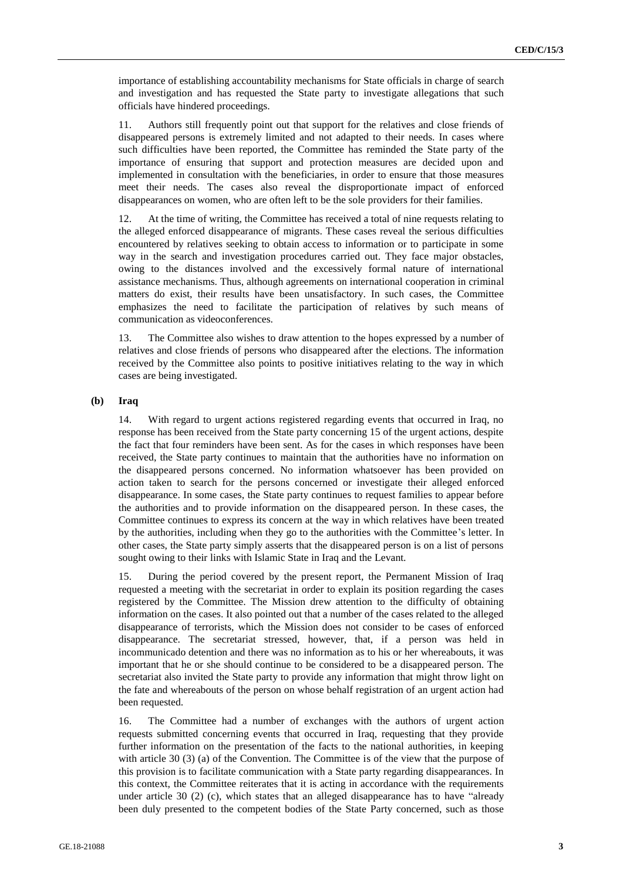importance of establishing accountability mechanisms for State officials in charge of search and investigation and has requested the State party to investigate allegations that such officials have hindered proceedings.

11. Authors still frequently point out that support for the relatives and close friends of disappeared persons is extremely limited and not adapted to their needs. In cases where such difficulties have been reported, the Committee has reminded the State party of the importance of ensuring that support and protection measures are decided upon and implemented in consultation with the beneficiaries, in order to ensure that those measures meet their needs. The cases also reveal the disproportionate impact of enforced disappearances on women, who are often left to be the sole providers for their families.

12. At the time of writing, the Committee has received a total of nine requests relating to the alleged enforced disappearance of migrants. These cases reveal the serious difficulties encountered by relatives seeking to obtain access to information or to participate in some way in the search and investigation procedures carried out. They face major obstacles, owing to the distances involved and the excessively formal nature of international assistance mechanisms. Thus, although agreements on international cooperation in criminal matters do exist, their results have been unsatisfactory. In such cases, the Committee emphasizes the need to facilitate the participation of relatives by such means of communication as videoconferences.

13. The Committee also wishes to draw attention to the hopes expressed by a number of relatives and close friends of persons who disappeared after the elections. The information received by the Committee also points to positive initiatives relating to the way in which cases are being investigated.

#### **(b) Iraq**

14. With regard to urgent actions registered regarding events that occurred in Iraq, no response has been received from the State party concerning 15 of the urgent actions, despite the fact that four reminders have been sent. As for the cases in which responses have been received, the State party continues to maintain that the authorities have no information on the disappeared persons concerned. No information whatsoever has been provided on action taken to search for the persons concerned or investigate their alleged enforced disappearance. In some cases, the State party continues to request families to appear before the authorities and to provide information on the disappeared person. In these cases, the Committee continues to express its concern at the way in which relatives have been treated by the authorities, including when they go to the authorities with the Committee's letter. In other cases, the State party simply asserts that the disappeared person is on a list of persons sought owing to their links with Islamic State in Iraq and the Levant.

15. During the period covered by the present report, the Permanent Mission of Iraq requested a meeting with the secretariat in order to explain its position regarding the cases registered by the Committee. The Mission drew attention to the difficulty of obtaining information on the cases. It also pointed out that a number of the cases related to the alleged disappearance of terrorists, which the Mission does not consider to be cases of enforced disappearance. The secretariat stressed, however, that, if a person was held in incommunicado detention and there was no information as to his or her whereabouts, it was important that he or she should continue to be considered to be a disappeared person. The secretariat also invited the State party to provide any information that might throw light on the fate and whereabouts of the person on whose behalf registration of an urgent action had been requested.

16. The Committee had a number of exchanges with the authors of urgent action requests submitted concerning events that occurred in Iraq, requesting that they provide further information on the presentation of the facts to the national authorities, in keeping with article 30 (3) (a) of the Convention. The Committee is of the view that the purpose of this provision is to facilitate communication with a State party regarding disappearances. In this context, the Committee reiterates that it is acting in accordance with the requirements under article 30 (2) (c), which states that an alleged disappearance has to have "already been duly presented to the competent bodies of the State Party concerned, such as those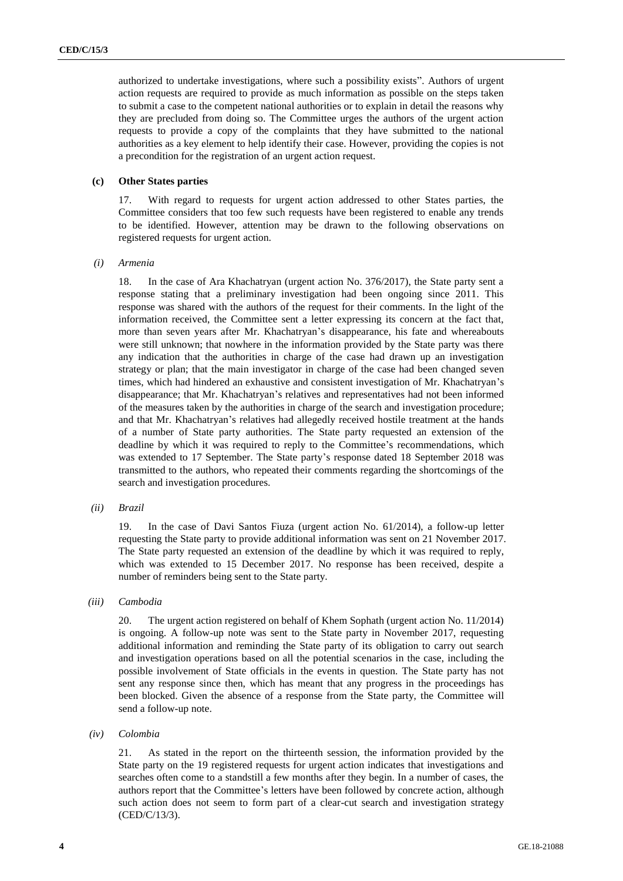authorized to undertake investigations, where such a possibility exists". Authors of urgent action requests are required to provide as much information as possible on the steps taken to submit a case to the competent national authorities or to explain in detail the reasons why they are precluded from doing so. The Committee urges the authors of the urgent action requests to provide a copy of the complaints that they have submitted to the national authorities as a key element to help identify their case. However, providing the copies is not a precondition for the registration of an urgent action request.

#### **(c) Other States parties**

17. With regard to requests for urgent action addressed to other States parties, the Committee considers that too few such requests have been registered to enable any trends to be identified. However, attention may be drawn to the following observations on registered requests for urgent action.

*(i) Armenia*

18. In the case of Ara Khachatryan (urgent action No. 376/2017), the State party sent a response stating that a preliminary investigation had been ongoing since 2011. This response was shared with the authors of the request for their comments. In the light of the information received, the Committee sent a letter expressing its concern at the fact that, more than seven years after Mr. Khachatryan's disappearance, his fate and whereabouts were still unknown; that nowhere in the information provided by the State party was there any indication that the authorities in charge of the case had drawn up an investigation strategy or plan; that the main investigator in charge of the case had been changed seven times, which had hindered an exhaustive and consistent investigation of Mr. Khachatryan's disappearance; that Mr. Khachatryan's relatives and representatives had not been informed of the measures taken by the authorities in charge of the search and investigation procedure; and that Mr. Khachatryan's relatives had allegedly received hostile treatment at the hands of a number of State party authorities. The State party requested an extension of the deadline by which it was required to reply to the Committee's recommendations, which was extended to 17 September. The State party's response dated 18 September 2018 was transmitted to the authors, who repeated their comments regarding the shortcomings of the search and investigation procedures.

*(ii) Brazil*

19. In the case of Davi Santos Fiuza (urgent action No. 61/2014), a follow-up letter requesting the State party to provide additional information was sent on 21 November 2017. The State party requested an extension of the deadline by which it was required to reply, which was extended to 15 December 2017. No response has been received, despite a number of reminders being sent to the State party.

*(iii) Cambodia*

20. The urgent action registered on behalf of Khem Sophath (urgent action No. 11/2014) is ongoing. A follow-up note was sent to the State party in November 2017, requesting additional information and reminding the State party of its obligation to carry out search and investigation operations based on all the potential scenarios in the case, including the possible involvement of State officials in the events in question. The State party has not sent any response since then, which has meant that any progress in the proceedings has been blocked. Given the absence of a response from the State party, the Committee will send a follow-up note.

*(iv) Colombia*

21. As stated in the report on the thirteenth session, the information provided by the State party on the 19 registered requests for urgent action indicates that investigations and searches often come to a standstill a few months after they begin. In a number of cases, the authors report that the Committee's letters have been followed by concrete action, although such action does not seem to form part of a clear-cut search and investigation strategy (CED/C/13/3).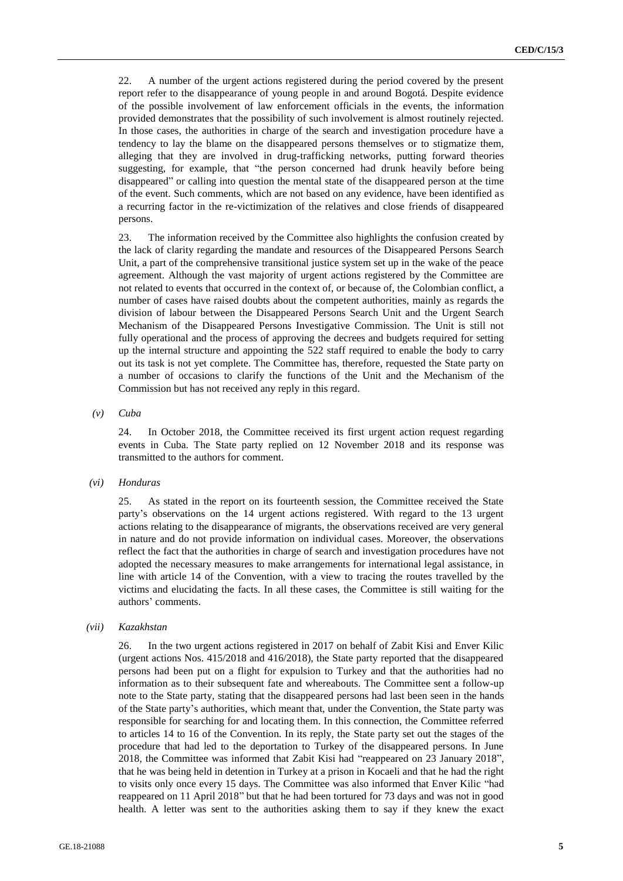22. A number of the urgent actions registered during the period covered by the present report refer to the disappearance of young people in and around Bogotá. Despite evidence of the possible involvement of law enforcement officials in the events, the information provided demonstrates that the possibility of such involvement is almost routinely rejected. In those cases, the authorities in charge of the search and investigation procedure have a tendency to lay the blame on the disappeared persons themselves or to stigmatize them, alleging that they are involved in drug-trafficking networks, putting forward theories suggesting, for example, that "the person concerned had drunk heavily before being disappeared" or calling into question the mental state of the disappeared person at the time of the event. Such comments, which are not based on any evidence, have been identified as a recurring factor in the re-victimization of the relatives and close friends of disappeared persons.

23. The information received by the Committee also highlights the confusion created by the lack of clarity regarding the mandate and resources of the Disappeared Persons Search Unit, a part of the comprehensive transitional justice system set up in the wake of the peace agreement. Although the vast majority of urgent actions registered by the Committee are not related to events that occurred in the context of, or because of, the Colombian conflict, a number of cases have raised doubts about the competent authorities, mainly as regards the division of labour between the Disappeared Persons Search Unit and the Urgent Search Mechanism of the Disappeared Persons Investigative Commission. The Unit is still not fully operational and the process of approving the decrees and budgets required for setting up the internal structure and appointing the 522 staff required to enable the body to carry out its task is not yet complete. The Committee has, therefore, requested the State party on a number of occasions to clarify the functions of the Unit and the Mechanism of the Commission but has not received any reply in this regard.

*(v) Cuba*

24. In October 2018, the Committee received its first urgent action request regarding events in Cuba. The State party replied on 12 November 2018 and its response was transmitted to the authors for comment.

*(vi) Honduras*

25. As stated in the report on its fourteenth session, the Committee received the State party's observations on the 14 urgent actions registered. With regard to the 13 urgent actions relating to the disappearance of migrants, the observations received are very general in nature and do not provide information on individual cases. Moreover, the observations reflect the fact that the authorities in charge of search and investigation procedures have not adopted the necessary measures to make arrangements for international legal assistance, in line with article 14 of the Convention, with a view to tracing the routes travelled by the victims and elucidating the facts. In all these cases, the Committee is still waiting for the authors' comments.

#### *(vii) Kazakhstan*

26. In the two urgent actions registered in 2017 on behalf of Zabit Kisi and Enver Kilic (urgent actions Nos. 415/2018 and 416/2018), the State party reported that the disappeared persons had been put on a flight for expulsion to Turkey and that the authorities had no information as to their subsequent fate and whereabouts. The Committee sent a follow-up note to the State party, stating that the disappeared persons had last been seen in the hands of the State party's authorities, which meant that, under the Convention, the State party was responsible for searching for and locating them. In this connection, the Committee referred to articles 14 to 16 of the Convention. In its reply, the State party set out the stages of the procedure that had led to the deportation to Turkey of the disappeared persons. In June 2018, the Committee was informed that Zabit Kisi had "reappeared on 23 January 2018", that he was being held in detention in Turkey at a prison in Kocaeli and that he had the right to visits only once every 15 days. The Committee was also informed that Enver Kilic "had reappeared on 11 April 2018" but that he had been tortured for 73 days and was not in good health. A letter was sent to the authorities asking them to say if they knew the exact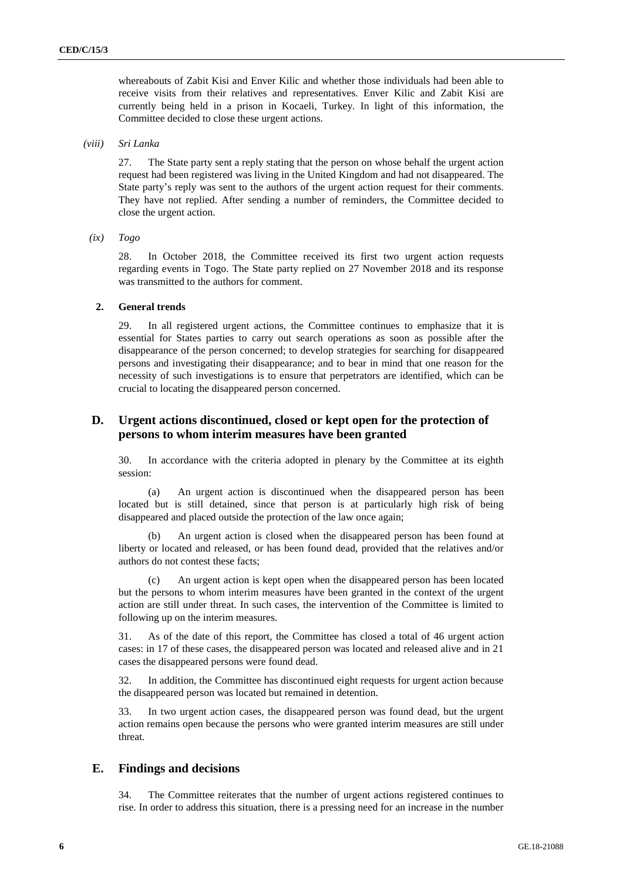whereabouts of Zabit Kisi and Enver Kilic and whether those individuals had been able to receive visits from their relatives and representatives. Enver Kilic and Zabit Kisi are currently being held in a prison in Kocaeli, Turkey. In light of this information, the Committee decided to close these urgent actions.

*(viii) Sri Lanka*

27. The State party sent a reply stating that the person on whose behalf the urgent action request had been registered was living in the United Kingdom and had not disappeared. The State party's reply was sent to the authors of the urgent action request for their comments. They have not replied. After sending a number of reminders, the Committee decided to close the urgent action.

*(ix) Togo*

28. In October 2018, the Committee received its first two urgent action requests regarding events in Togo. The State party replied on 27 November 2018 and its response was transmitted to the authors for comment.

#### **2. General trends**

29. In all registered urgent actions, the Committee continues to emphasize that it is essential for States parties to carry out search operations as soon as possible after the disappearance of the person concerned; to develop strategies for searching for disappeared persons and investigating their disappearance; and to bear in mind that one reason for the necessity of such investigations is to ensure that perpetrators are identified, which can be crucial to locating the disappeared person concerned.

### **D. Urgent actions discontinued, closed or kept open for the protection of persons to whom interim measures have been granted**

30. In accordance with the criteria adopted in plenary by the Committee at its eighth session:

(a) An urgent action is discontinued when the disappeared person has been located but is still detained, since that person is at particularly high risk of being disappeared and placed outside the protection of the law once again;

An urgent action is closed when the disappeared person has been found at liberty or located and released, or has been found dead, provided that the relatives and/or authors do not contest these facts;

(c) An urgent action is kept open when the disappeared person has been located but the persons to whom interim measures have been granted in the context of the urgent action are still under threat. In such cases, the intervention of the Committee is limited to following up on the interim measures.

31. As of the date of this report, the Committee has closed a total of 46 urgent action cases: in 17 of these cases, the disappeared person was located and released alive and in 21 cases the disappeared persons were found dead.

32. In addition, the Committee has discontinued eight requests for urgent action because the disappeared person was located but remained in detention.

33. In two urgent action cases, the disappeared person was found dead, but the urgent action remains open because the persons who were granted interim measures are still under threat.

#### **E. Findings and decisions**

34. The Committee reiterates that the number of urgent actions registered continues to rise. In order to address this situation, there is a pressing need for an increase in the number